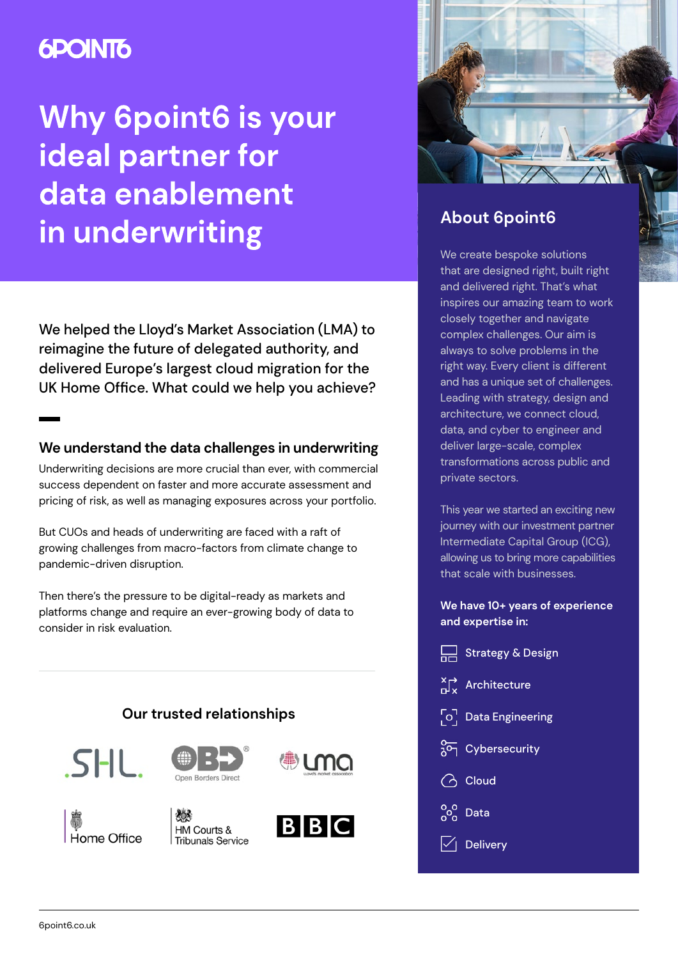# **6POINT6**

# **Why 6point6 is your ideal partner for data enablement in underwriting**

We helped the Lloyd's Market Association (LMA) to reimagine the future of delegated authority, and delivered Europe's largest cloud migration for the UK Home Office. What could we help you achieve?

## **We understand the data challenges in underwriting**

Underwriting decisions are more crucial than ever, with commercial success dependent on faster and more accurate assessment and pricing of risk, as well as managing exposures across your portfolio.

But CUOs and heads of underwriting are faced with a raft of growing challenges from macro-factors from climate change to pandemic-driven disruption.

Then there's the pressure to be digital-ready as markets and platforms change and require an ever-growing body of data to consider in risk evaluation.





# **About 6point6**

We create bespoke solutions that are designed right, built right and delivered right. That's what inspires our amazing team to work closely together and navigate complex challenges. Our aim is always to solve problems in the right way. Every client is different and has a unique set of challenges. Leading with strategy, design and architecture, we connect cloud, data, and cyber to engineer and deliver large-scale, complex transformations across public and private sectors.

This year we started an exciting new journey with our investment partner Intermediate Capital Group (ICG), allowing us to bring more capabilities that scale with businesses.

**We have 10+ years of experience and expertise in:**

| Strategy & Design                                               |
|-----------------------------------------------------------------|
| $\prod_{x}^{\times}$ Architecture                               |
| $\begin{bmatrix} \circ \\ \circ \end{bmatrix}$ Data Engineering |
| 20 Cybersecurity                                                |
| <b>△</b> Cloud                                                  |
| $\frac{80}{100}$ Data                                           |
| $\sqrt{}{} $ Delivery                                           |
|                                                                 |